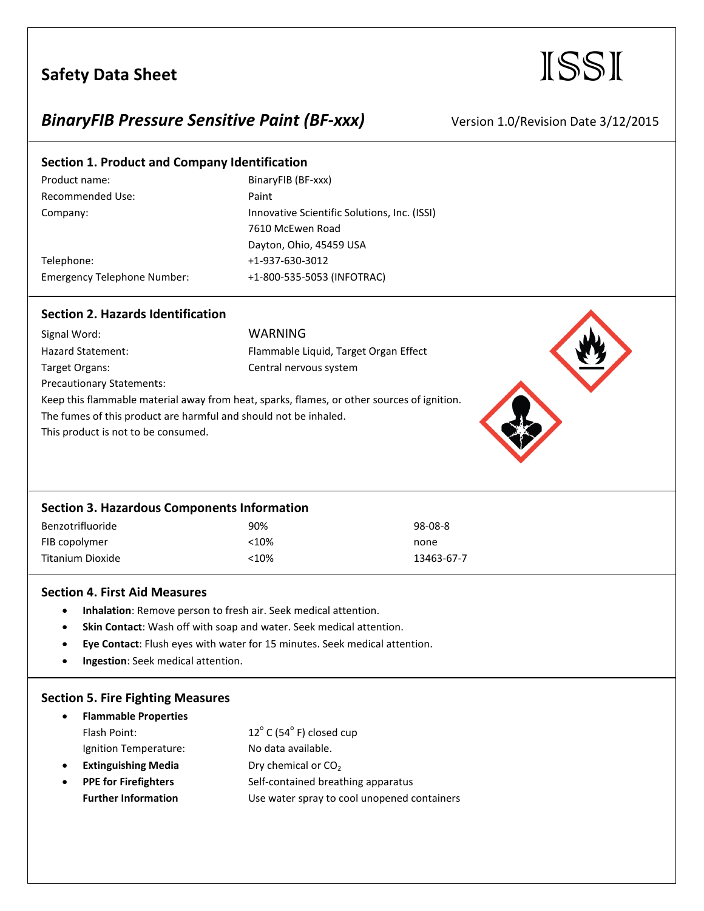# Safety Data Sheet **ISSI**

## **BinaryFIB Pressure Sensitive Paint (BF-xxx)** Version 1.0/Revision Date 3/12/2015

## **Section 1. Product and Company Identification**

| Product name:                      | BinaryFIB (BF-xxx)                           |
|------------------------------------|----------------------------------------------|
| Recommended Use:                   | Paint                                        |
| Company:                           | Innovative Scientific Solutions, Inc. (ISSI) |
|                                    | 7610 McEwen Road                             |
|                                    | Dayton, Ohio, 45459 USA                      |
| Telephone:                         | +1-937-630-3012                              |
| <b>Emergency Telephone Number:</b> | +1-800-535-5053 (INFOTRAC)                   |
|                                    |                                              |

### **Section 2. Hazards Identification**

| Signal Word:                                                                               | WARNING                               |  |
|--------------------------------------------------------------------------------------------|---------------------------------------|--|
| Hazard Statement:                                                                          | Flammable Liquid, Target Organ Effect |  |
| Target Organs:                                                                             | Central nervous system                |  |
| <b>Precautionary Statements:</b>                                                           |                                       |  |
| Keep this flammable material away from heat, sparks, flames, or other sources of ignition. |                                       |  |
| The fumes of this product are harmful and should not be inhaled.                           |                                       |  |
| This product is not to be consumed.                                                        |                                       |  |



#### **Section 4. First Aid Measures**

- **Inhalation**: Remove person to fresh air. Seek medical attention.
- **Skin Contact**: Wash off with soap and water. Seek medical attention.
- **Eye Contact**: Flush eyes with water for 15 minutes. Seek medical attention.
- **Ingestion**: Seek medical attention.

## **Section 5. Fire Fighting Measures**

| $\bullet$ | <b>Flammable Properties</b> |                                             |
|-----------|-----------------------------|---------------------------------------------|
|           | Flash Point:                | $12^{\circ}$ C (54 $^{\circ}$ F) closed cup |
|           | Ignition Temperature:       | No data available.                          |
| $\bullet$ | <b>Extinguishing Media</b>  | Dry chemical or CO <sub>2</sub>             |
| $\bullet$ | <b>PPE for Firefighters</b> | Self-contained breathing apparatus          |
|           | <b>Further Information</b>  | Use water spray to cool unopened containers |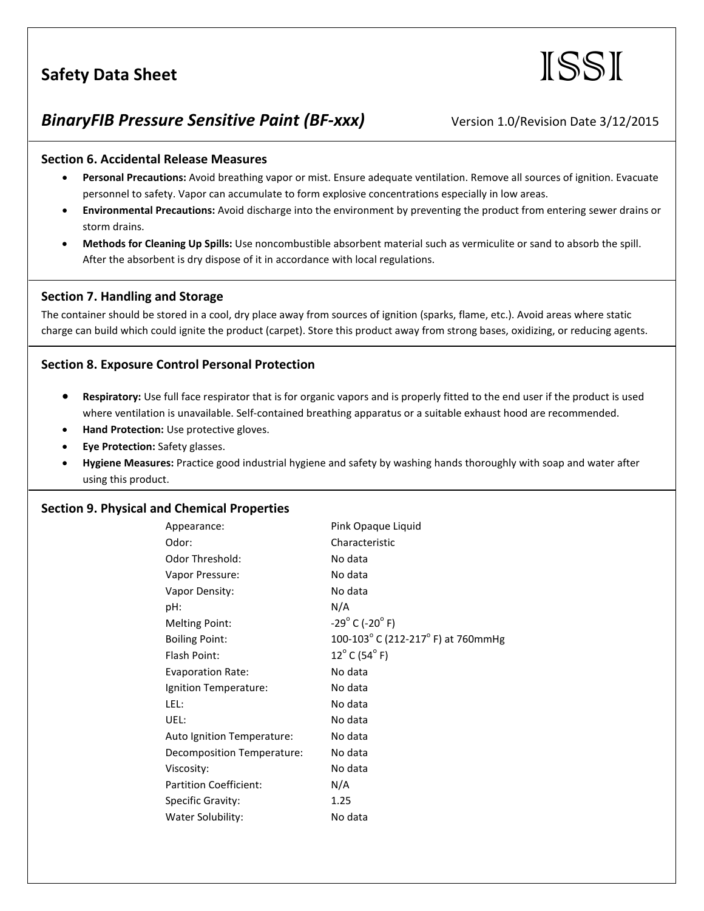# Safety Data Sheet **ISSI**

## **BinaryFIB Pressure Sensitive Paint (BF-xxx)** Version 1.0/Revision Date 3/12/2015

#### **Section 6. Accidental Release Measures**

- **Personal Precautions:** Avoid breathing vapor or mist. Ensure adequate ventilation. Remove all sources of ignition. Evacuate personnel to safety. Vapor can accumulate to form explosive concentrations especially in low areas.
- **Environmental Precautions:** Avoid discharge into the environment by preventing the product from entering sewer drains or storm drains.
- **Methods for Cleaning Up Spills:** Use noncombustible absorbent material such as vermiculite or sand to absorb the spill. After the absorbent is dry dispose of it in accordance with local regulations.

### **Section 7. Handling and Storage**

The container should be stored in a cool, dry place away from sources of ignition (sparks, flame, etc.). Avoid areas where static charge can build which could ignite the product (carpet). Store this product away from strong bases, oxidizing, or reducing agents.

### **Section 8. Exposure Control Personal Protection**

- **Respiratory:** Use full face respirator that is for organic vapors and is properly fitted to the end user if the product is used where ventilation is unavailable. Self-contained breathing apparatus or a suitable exhaust hood are recommended.
- **Hand Protection:** Use protective gloves.
- **Eye Protection:** Safety glasses.
- **Hygiene Measures:** Practice good industrial hygiene and safety by washing hands thoroughly with soap and water after using this product.

#### **Section 9. Physical and Chemical Properties**

| Appearance:                   | Pink Opaque Liquid                                     |
|-------------------------------|--------------------------------------------------------|
| Odor:                         | Characteristic                                         |
| Odor Threshold:               | No data                                                |
| Vapor Pressure:               | No data                                                |
| Vapor Density:                | No data                                                |
| pH:                           | N/A                                                    |
| <b>Melting Point:</b>         | $-29^{\circ}$ C (-20 $^{\circ}$ F)                     |
| <b>Boiling Point:</b>         | 100-103 $^{\circ}$ C (212-217 $^{\circ}$ F) at 760mmHg |
| Flash Point:                  | $12^{\circ}$ C (54 $^{\circ}$ F)                       |
| <b>Evaporation Rate:</b>      | No data                                                |
| Ignition Temperature:         | No data                                                |
| LEL:                          | No data                                                |
| UEL:                          | No data                                                |
| Auto Ignition Temperature:    | No data                                                |
| Decomposition Temperature:    | No data                                                |
| Viscosity:                    | No data                                                |
| <b>Partition Coefficient:</b> | N/A                                                    |
| Specific Gravity:             | 1.25                                                   |
| Water Solubility:             | No data                                                |